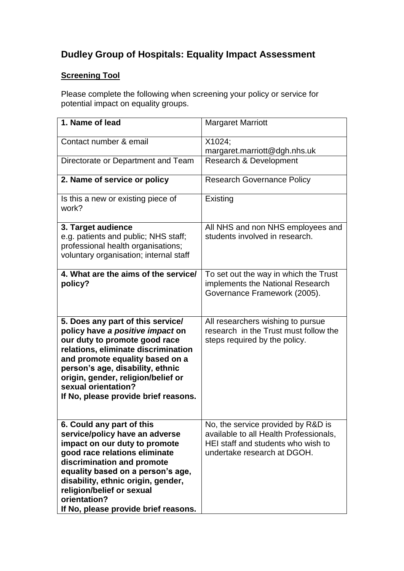## **Dudley Group of Hospitals: Equality Impact Assessment**

## **Screening Tool**

Please complete the following when screening your policy or service for potential impact on equality groups.

| 1. Name of lead                                                                                                                                                                                                                                                                                                             | <b>Margaret Marriott</b>                                                                                                                          |
|-----------------------------------------------------------------------------------------------------------------------------------------------------------------------------------------------------------------------------------------------------------------------------------------------------------------------------|---------------------------------------------------------------------------------------------------------------------------------------------------|
| Contact number & email                                                                                                                                                                                                                                                                                                      | X1024;<br>margaret.marriott@dgh.nhs.uk                                                                                                            |
| Directorate or Department and Team                                                                                                                                                                                                                                                                                          | Research & Development                                                                                                                            |
| 2. Name of service or policy                                                                                                                                                                                                                                                                                                | <b>Research Governance Policy</b>                                                                                                                 |
| Is this a new or existing piece of<br>work?                                                                                                                                                                                                                                                                                 | Existing                                                                                                                                          |
| 3. Target audience<br>e.g. patients and public; NHS staff;<br>professional health organisations;<br>voluntary organisation; internal staff                                                                                                                                                                                  | All NHS and non NHS employees and<br>students involved in research.                                                                               |
| 4. What are the aims of the service/<br>policy?                                                                                                                                                                                                                                                                             | To set out the way in which the Trust<br>implements the National Research<br>Governance Framework (2005).                                         |
| 5. Does any part of this service/<br>policy have a positive impact on<br>our duty to promote good race<br>relations, eliminate discrimination<br>and promote equality based on a<br>person's age, disability, ethnic<br>origin, gender, religion/belief or<br>sexual orientation?<br>If No, please provide brief reasons.   | All researchers wishing to pursue<br>research in the Trust must follow the<br>steps required by the policy.                                       |
| 6. Could any part of this<br>service/policy have an adverse<br>impact on our duty to promote<br>good race relations eliminate<br>discrimination and promote<br>equality based on a person's age,<br>disability, ethnic origin, gender,<br>religion/belief or sexual<br>orientation?<br>If No, please provide brief reasons. | No, the service provided by R&D is<br>available to all Health Professionals,<br>HEI staff and students who wish to<br>undertake research at DGOH. |